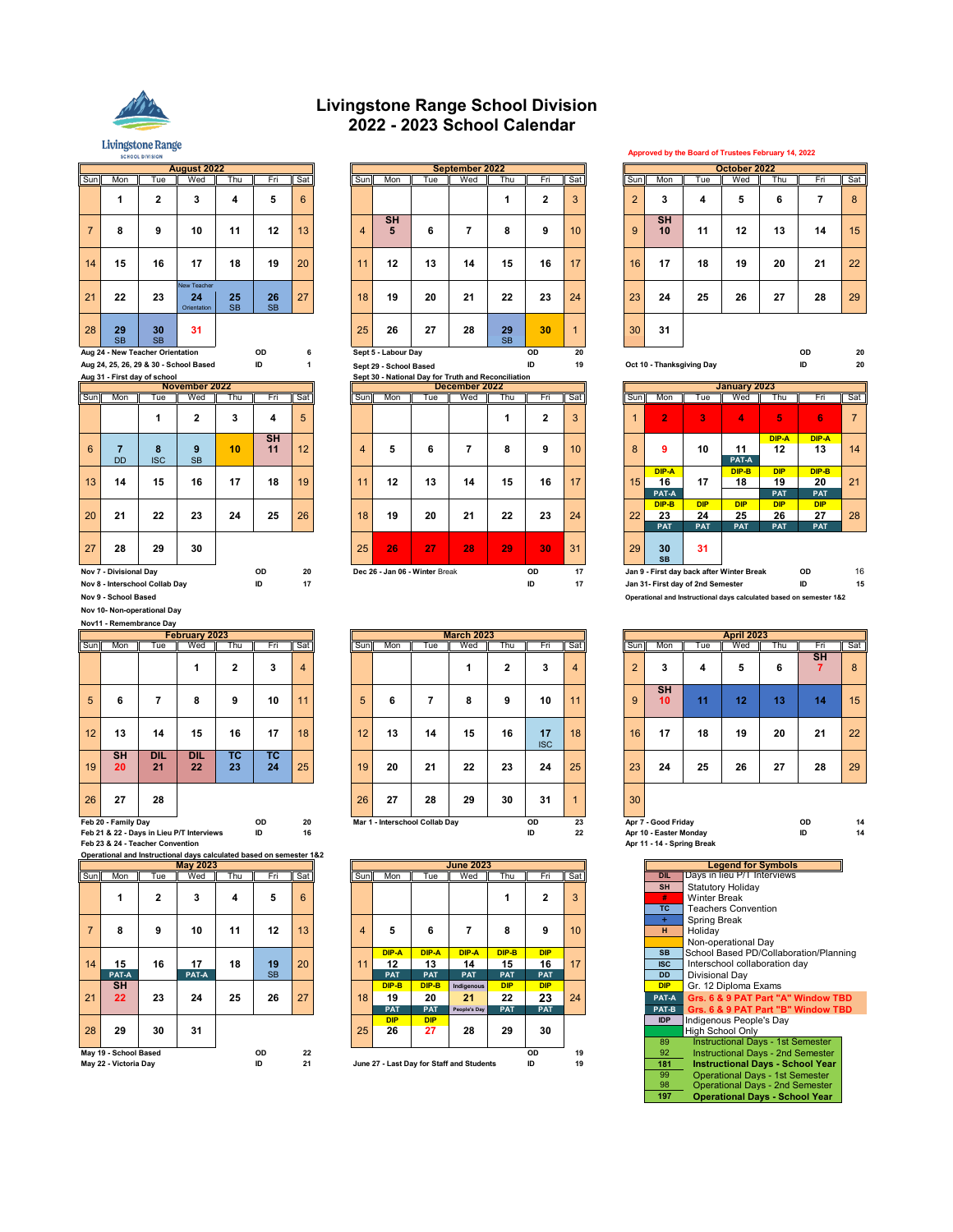

**SCHOOL DIVISION** 

## **Livingstone Range School Division 2022 - 2023 School Calendar**

|                |                             |                                  | <b>August 2022</b>                     |                 |                 |     |                  |                        |                                                     | September 2022 |                 |                         |     |                |                           |                                | October 2022                   |                                |                                |                |
|----------------|-----------------------------|----------------------------------|----------------------------------------|-----------------|-----------------|-----|------------------|------------------------|-----------------------------------------------------|----------------|-----------------|-------------------------|-----|----------------|---------------------------|--------------------------------|--------------------------------|--------------------------------|--------------------------------|----------------|
| Sun            | Mon                         | Tue                              | Wed                                    | Thu             | Fri             | Sat | Sun              | Mon                    | Tue                                                 | Wed            | Thu             | Fri                     | Sat | Sun            | Mon                       | Tue                            | Wed                            | Thu                            | Fri                            | Sat            |
|                | 1                           | $\mathbf{2}$                     | 3                                      | $\overline{4}$  | 5               | 6   |                  |                        |                                                     |                |                 | 2                       | 3   | $\overline{2}$ | 3                         | 4                              | 5                              | 6                              | 7                              | 8              |
| $\overline{7}$ | 8                           | 9                                | 10                                     | 11              | 12              | 13  | $\overline{4}$   | <b>SH</b><br>5         | 6                                                   | 7              | 8               | 9                       | 10  | 9              | <b>SH</b><br>10           | 11                             | 12                             | 13                             | 14                             | 15             |
| 14             | 15                          | 16                               | 17                                     | 18              | 19              | 20  | 11               | 12                     | 13                                                  | 14             | 15              | 16                      | 17  | 16             | 17                        | 18                             | 19                             | 20                             | 21                             | 22             |
| 21             | 22                          | 23                               | New Teacher<br>24<br>Orientation       | 25<br><b>SB</b> | 26<br><b>SB</b> | 27  | 18               | 19                     | 20                                                  | 21             | 22              | 23                      | 24  | 23             | 24                        | 25                             | 26                             | 27                             | 28                             | 29             |
| 28             | 29<br><b>SB</b>             | 30<br><b>SB</b>                  | 31                                     |                 |                 |     | 25               | 26                     | 27                                                  | 28             | 29<br><b>SB</b> | 30                      | -1  | 30             | 31                        |                                |                                |                                |                                |                |
|                |                             | Aug 24 - New Teacher Orientation |                                        |                 | <b>OD</b>       | ĥ   |                  | Sept 5 - Labour Day    |                                                     |                |                 | OD                      | 20  |                |                           |                                |                                |                                | OD                             | 2(             |
|                |                             |                                  | Aug 24, 25, 26, 29 & 30 - School Based |                 | ID              |     |                  | Sept 29 - School Based |                                                     |                |                 | ID                      | 19  |                | Oct 10 - Thanksgiving Day |                                |                                |                                | ID                             | 2(             |
|                |                             | Aug 31 - First day of school     |                                        |                 |                 |     |                  |                        | Sept 30 - National Day for Truth and Reconciliation |                |                 |                         |     |                |                           |                                |                                |                                |                                |                |
|                |                             |                                  | November 2022                          |                 |                 |     |                  |                        |                                                     | December 2022  |                 |                         |     |                |                           |                                | January 2023                   |                                |                                |                |
| Sun            | Mon                         | Tue                              | Wed                                    | Thu             | Fri             | Sat | Sun              | Mon                    | Tue                                                 | Wed            | Thu             | Fri                     | Sat | Sun            | Mon                       | Tue                            | Wed                            | Thu                            | Fri                            | Sat            |
|                |                             | 1                                | 2                                      | 3               | 4               | 5   |                  |                        |                                                     |                |                 | $\overline{\mathbf{2}}$ | 3   |                | $\overline{2}$            | 3                              | $\overline{\mathbf{A}}$        | 5                              | 6                              | $\overline{7}$ |
| 6              | $\overline{7}$<br><b>DD</b> | 8<br><b>ISC</b>                  | 9<br><b>SB</b>                         | 10              | <b>SH</b><br>11 | 12  | $\boldsymbol{4}$ | 5                      | 6                                                   | 7              | 8               | 9                       | 10  | 8              | 9                         | 10                             | 11<br>PAT-A                    | DIP-A<br>12                    | DIP-A<br>13                    | 14             |
| 13             | 14                          | 15                               | 16                                     | 17              | 18              | 19  | 11               | 12                     | 13                                                  | 14             | 15              | 16                      | 17  | 15             | DIP-A<br>16<br>PAT-A      | 17                             | DIP-B<br>18                    | <b>DIP</b><br>19<br><b>PAT</b> | DIP-B<br>20<br>PAT             | 21             |
| 20             | 21                          | 22                               | 23                                     | 24              | 25              | 26  | 18               | 19                     | 20                                                  | 21             | 22              | 23                      | 24  | 22             | DIP-B<br>23<br><b>PAT</b> | <b>DIP</b><br>24<br><b>PAT</b> | <b>DIP</b><br>25<br><b>PAT</b> | <b>DIP</b><br>26<br><b>PAT</b> | <b>DIP</b><br>27<br><b>PAT</b> | 28             |

|                 |                 |                 | <b>August 2022</b>               |                 |                 |        |     |                             |     | September 2022 |                 |              |                 |                |                 |     | October 2022 |     |        |                             |
|-----------------|-----------------|-----------------|----------------------------------|-----------------|-----------------|--------|-----|-----------------------------|-----|----------------|-----------------|--------------|-----------------|----------------|-----------------|-----|--------------|-----|--------|-----------------------------|
| Sun             | Mon             | Tue             | Wed                              | Thu             | Fri             | Sat    | Sun | Mon                         | Tue | Wed            | Thu             | Fri          | <b>Sat</b>      | Sun            | Mon             | Tue | Wed          | Thu | Fri    | $\overline{\phantom{a}}$ Sa |
|                 |                 | ◠               | 3                                | 4               | 5               | 6      |     |                             |     |                |                 | $\mathbf{2}$ | 3               | $\overline{2}$ | 3               | 4   | 5            | 6   |        | 8                           |
| $\overline{7}$  | 8               | 9               | 10                               | 11              | 12              | 13     | 4   | <b>SH</b><br>5              | 6   |                | 8               | 9            | 10 <sup>°</sup> | 9              | <b>SH</b><br>10 | 11  | 12           | 13  | 14     | 15                          |
| 14              | 15              | 16              | 17                               | 18              | 19              | 20     | 11  | 12                          | 13  | 14             | 15              | 16           | 17              | 16             | 17              | 18  | 19           | 20  | 21     | 22                          |
| 21              | 22              | 23              | New Teacher<br>24<br>Orientation | 25<br><b>SB</b> | 26<br><b>SB</b> | 27     | 18  | 19                          | 20  | 21             | 22              | 23           | 24              | 23             | 24              | 25  | 26           | 27  | 28     | 29                          |
| 28 <sup>1</sup> | 29<br><b>SB</b> | 30<br><b>SB</b> | 31                               |                 |                 |        | 25  | 26                          | 27  | 28             | 29<br><b>SB</b> | 30           |                 | 30             | 31              |     |              |     |        |                             |
|                 |                 |                 |                                  |                 | $\sim$          | $\sim$ |     | $\sim$ $\sim$ $\sim$ $\sim$ |     |                |                 | $\sim$       | $\sim$          |                |                 |     |              |     | $\sim$ |                             |

|     |                                |                 | November 2022  |     |                 |     |     |     |                                | December 2022 |     |              |                 |     |                           |                                   | January 2023                              |                                |                                |     |
|-----|--------------------------------|-----------------|----------------|-----|-----------------|-----|-----|-----|--------------------------------|---------------|-----|--------------|-----------------|-----|---------------------------|-----------------------------------|-------------------------------------------|--------------------------------|--------------------------------|-----|
| Sun | Mon                            | Tue             | Wed            | Thu | Fri             | Sat | Sun | Mon | Гuе                            | Wed           | Thu | Fri          | Sat             | Sun | Mon                       | Tue                               | Wed                                       | Thu                            | Fп                             | Sat |
|     |                                |                 | c              | 3   | 4               | 5   |     |     |                                |               |     | $\mathbf{2}$ | 3               |     | $\overline{2}$            | 3                                 | 4                                         | 5                              | 6                              | 7   |
| 6   | <b>DD</b>                      | 8<br><b>ISC</b> | 9<br><b>SB</b> | 10  | <b>SH</b><br>11 | 12  | 4   | 5   | 6                              |               | 8   | 9            | 10 <sup>1</sup> | 8   | 9                         | 10                                | 11<br>PAT-A                               | DIP-A<br>12                    | DIP-A<br>13                    | 14  |
| 13  | 14                             | 15              | 16             | 17  | 18              | 19  | 11  | 12  | 13                             | 14            | 15  | 16           | 17              | 15  | DIP-A<br>16<br>PAT-A      | 17                                | DIP-B<br>18                               | <b>DIP</b><br>19<br><b>PAT</b> | DIP-B<br>20<br><b>PAT</b>      | 21  |
| 20  | 21                             | 22              | 23             | 24  | 25              | 26  | 18  | 19  | 20                             | 21            | 22  | 23           | 24              | 22  | DIP-B<br>23<br><b>PAT</b> | <b>DIP</b><br>24<br><b>PAT</b>    | <b>DIP</b><br>25<br><b>PAT</b>            | <b>DIP</b><br>26<br><b>PAT</b> | <b>DIP</b><br>27<br><b>PAT</b> | 28  |
| 27  | 28                             | 29              | 30             |     |                 |     | 25  | 26  | 27                             | 28            | 29  | 30           | 31              | 29  | 30<br><b>SB</b>           | 31                                |                                           |                                |                                |     |
|     | Nov 7 - Divisional Day         |                 |                |     | OD              | 20  |     |     | Dec 26 - Jan 06 - Winter Break |               |     | OD           | 17              |     |                           |                                   | Jan 9 - First day back after Winter Break |                                | OD                             | 16  |
|     | Nov 8 - Interschool Collab Day |                 |                |     | ID              | 17  |     |     |                                |               |     | ID           | 17              |     |                           | Jan 31- First day of 2nd Semester |                                           |                                | ID                             | 1   |

|                |                    |                  | February 2023    |                 |                 |     |                  |     |                                | <b>March 2023</b> |              |                  |     |                |                     |     | <b>April 2023</b> |     |           |    |
|----------------|--------------------|------------------|------------------|-----------------|-----------------|-----|------------------|-----|--------------------------------|-------------------|--------------|------------------|-----|----------------|---------------------|-----|-------------------|-----|-----------|----|
| Sum            | Mon                | Tue              | Wed              | Thu             | Fri             | Sat | Sun <sup>1</sup> | Mon | Tue                            | Wed               | Thu          | Fri              | Sat | Sun            | Mon                 | Tue | Wed               | Thu | нm        | Sa |
|                |                    |                  |                  | 2               | 3               | 4   |                  |     |                                |                   | $\mathbf{2}$ | 3                | 4   | $\overline{2}$ | 3                   | 4   | 5                 | ь   | <b>SH</b> | 8  |
| 5 <sup>5</sup> | 6                  |                  | 8                | 9               | 10              | 11  | 5 <sup>5</sup>   | 6   |                                | 8                 | 9            | 10               | 11  | 9              | <b>SH</b><br>10     | ₫1  | 12                | 13  | 14        | 15 |
| 12             | 13                 | 14               | 15               | 16              | 17              | 18  | 12               | 13  | 14                             | 15                | 16           | 17<br><b>ISC</b> | 18  | 16             | 17                  | 18  | 19                | 20  | 21        | 22 |
| 19             | <b>SH</b><br>20    | <b>DIL</b><br>21 | <b>DIL</b><br>22 | <b>TC</b><br>23 | <b>TC</b><br>24 | 25  | 19               | 20  | 21                             | 22                | 23           | 24               | 25  | 23             | 24                  | 25  | 26                | 27  | 28        | 29 |
| 26             | 27                 | 28               |                  |                 |                 |     | 26               | 27  | 28                             | 29                | 30           | 31               |     | 30             |                     |     |                   |     |           |    |
|                | eb 20 - Family Day |                  |                  |                 | OD              | 20  |                  |     | Mar 1 - Interschool Collab Day |                   |              | OD               | 23  |                | Apr 7 - Good Friday |     |                   |     | OD        |    |

|     |                       |     | <b>May 2023</b> |     |           |     |                  |            |            | <b>June 2023</b>                          |            |            |                 |            | <b>Legend for Symbols</b>               |
|-----|-----------------------|-----|-----------------|-----|-----------|-----|------------------|------------|------------|-------------------------------------------|------------|------------|-----------------|------------|-----------------------------------------|
| Sun | Mon                   | Tue | Wed             | Thu | Fri       | Sat | Sun <sup>I</sup> | Mon        | Tue        | Wed                                       | Thu        | Fri        | Sat             | <b>DIL</b> | Days in lieu P/1 Interviews             |
|     |                       |     |                 |     |           |     |                  |            |            |                                           |            |            |                 | <b>SH</b>  | <b>Statutory Holiday</b>                |
|     |                       |     |                 | 4   | 5         | 6   |                  |            |            |                                           |            | 2          | 3               | #          | <b>Winter Break</b>                     |
|     |                       |     |                 |     |           |     |                  |            |            |                                           |            |            |                 | TC         | <b>Teachers Convention</b>              |
|     |                       |     |                 |     |           |     |                  |            |            |                                           |            |            |                 |            | Spring Break                            |
|     | 8                     | ٩   | 10              | 11  | 12        | 13  | 4                | 5          | 6          |                                           | 8          | 9          | 10 <sup>°</sup> | н          | Holidav                                 |
|     |                       |     |                 |     |           |     |                  |            |            |                                           |            |            |                 |            | Non-operational Dav                     |
|     |                       |     |                 |     |           |     |                  | DIP-A      | DIP-A      | DIP-A                                     | DIP-B      | <b>DIP</b> |                 | <b>SB</b>  | School Based PD/Collaboration/Plannin   |
| 14  | 15                    | 16  | 17              | 18  | 19        | 20  |                  | 12         | 13         | 14                                        | 15         | 16         | 17              | <b>ISC</b> | Interschool collaboration day           |
|     | PAT-A                 |     | PAT-A           |     | <b>SB</b> |     |                  | <b>PAT</b> | <b>PAT</b> | <b>PAT</b>                                | <b>PAT</b> | <b>PAT</b> |                 | <b>DD</b>  | Divisional Dav                          |
|     | <b>SH</b>             |     |                 |     |           |     |                  | DIP-B      | DIP-B      | Indigenous                                | <b>DIP</b> | <b>DIP</b> |                 | <b>DIP</b> | Gr. 12 Diploma Exams                    |
| 21  | 22                    | 23  | 24              | 25  | 26        | 27  | 18               | 19         | 20         | 21                                        | 22         | 23         | 24              | PAT-A      | Grs. 6 & 9 PAT Part "A" Window TBD      |
|     |                       |     |                 |     |           |     |                  | <b>PAT</b> | <b>PAT</b> | People's Day                              | <b>PAT</b> | <b>PAT</b> |                 | PAT-B      | Grs. 6 & 9 PAT Part "B" Window TBD      |
|     |                       |     |                 |     |           |     |                  | <b>DIP</b> | <b>DIP</b> |                                           |            |            |                 | <b>IDP</b> | Indigenous People's Day                 |
| 28  | 29                    | 30  | 31              |     |           |     | 25               | 26         | 27         | 28                                        | 29         | 30         |                 |            | <b>High School Only</b>                 |
|     |                       |     |                 |     |           |     |                  |            |            |                                           |            |            |                 | 89         | Instructional Days - 1st Semester       |
|     | May 19 - School Based |     |                 |     | OD        | 22  |                  |            |            |                                           |            | OD         | 19              | 92         | Instructional Days - 2nd Semester       |
|     | May 22 - Victoria Day |     |                 |     | ID        | 21  |                  |            |            | June 27 - Last Day for Staff and Students |            | ID         | 19              | 181        | <b>Instructional Days - School Year</b> |

 **Approved by the Board of Trustees February 14, 2022**

|                |                 |     | October 2022 |     |     |     |
|----------------|-----------------|-----|--------------|-----|-----|-----|
| Sun            | Mon             | Tue | Wed          | Thu | Fri | Sat |
| $\overline{2}$ | 3               | 4   | 5            | 6   | 7   | 8   |
| 9              | <b>SH</b><br>10 | 11  | 12           | 13  | 14  | 15  |
| 16             | 17              | 18  | 19           | 20  | 21  | 22  |
| 23             | 24              | 25  | 26           | 27  | 28  | 29  |
| 30             | 31              |     |              |     |     |     |

|             |                        | Aug 31 - First day of School   |                |     |                 |     |     |                                |     | Sept 30 - National Day for Truth and Reconciliation |     |     |                 |     |                           |                                   |                                           |                                |                                                                     |     |
|-------------|------------------------|--------------------------------|----------------|-----|-----------------|-----|-----|--------------------------------|-----|-----------------------------------------------------|-----|-----|-----------------|-----|---------------------------|-----------------------------------|-------------------------------------------|--------------------------------|---------------------------------------------------------------------|-----|
|             |                        |                                | November 2022  |     |                 |     |     |                                |     | December 2022                                       |     |     |                 |     |                           |                                   | January 2023                              |                                |                                                                     |     |
| Sun         | Mon                    | Tue                            | Wed            | Thu | Fri             | Sat | Sun | Mon                            | Tue | Wed                                                 | Thu | Fri | <b>Sat</b>      | Sun | Mon                       | Tue                               | Wed                                       | Thu                            | Fri                                                                 | Sat |
|             |                        |                                | $\mathbf{2}$   | 3   | 4               | 5   |     |                                |     |                                                     |     | 2   |                 |     | $\overline{2}$            | 3                                 | 4                                         | 5                              | 6                                                                   |     |
| $6^{\circ}$ | <b>DD</b>              | 8<br><b>ISC</b>                | 9<br><b>SB</b> | 10  | <b>SH</b><br>11 | 12  | 4   | 5                              | 6   |                                                     | 8   | 9   | 10 <sup>1</sup> | 8   | 9                         | 10                                | 11<br>PAT-A                               | DIP-A<br>12                    | DIP-A<br>13                                                         | 14  |
| 13          | 14                     | 15                             | 16             | 17  | 18              | 19  | 11  | 12                             | 13  | 14                                                  | 15  | 16  | 17              | 15  | DIP-A<br>16<br>PAT-A      | 17                                | DIP-B<br>18                               | <b>DIP</b><br>19<br><b>PAT</b> | DIP-B<br>20<br><b>PAT</b>                                           | 21  |
| 20          | 21                     | 22                             | 23             | 24  | 25              | 26  | 18  | 19                             | 20  | 21                                                  | 22  | 23  | 24              | 22  | DIP-B<br>23<br><b>PAT</b> | <b>DIP</b><br>24<br><b>PAT</b>    | <b>DIP</b><br>25<br><b>PAT</b>            | <b>DIP</b><br>26<br><b>PAT</b> | <b>DIP</b><br>27<br><b>PAT</b>                                      | 28  |
| 27          | 28                     | 29                             | 30             |     |                 |     | 25  | 26                             | 27  | 28                                                  | 29  | 30  | 31              | 29  | 30<br><b>SB</b>           | 31                                |                                           |                                |                                                                     |     |
|             | Nov 7 - Divisional Day |                                |                |     | OD              | 20  |     | Dec 26 - Jan 06 - Winter Break |     |                                                     |     | OD  | 17              |     |                           |                                   | Jan 9 - First day back after Winter Break |                                | <b>OD</b>                                                           | 16  |
|             |                        | Nov 8 - Interschool Collab Day |                |     | ID              | 17  |     |                                |     |                                                     |     | ID  | 17              |     |                           | Jan 31- First day of 2nd Semester |                                           |                                | ID                                                                  | 15  |
|             | Nov 9 - School Based   |                                |                |     |                 |     |     |                                |     |                                                     |     |     |                 |     |                           |                                   |                                           |                                | Operational and Instructional days calculated based on semester 1&2 |     |

|                |                        |     | <b>April 2023</b> |     |                |     |
|----------------|------------------------|-----|-------------------|-----|----------------|-----|
| Sun            | Mon                    | Tue | Wed               | Thu | Fri            | Sat |
| $\overline{2}$ | 3                      | 4   | 5                 | 6   | <b>SH</b><br>7 | 8   |
| 9              | <b>SH</b><br>10        | 11  | 12                | 13  | 14             | 15  |
| 16             | 17                     | 18  | 19                | 20  | 21             | 22  |
| 23             | 24                     | 25  | 26                | 27  | 28             | 29  |
| 30             |                        |     |                   |     |                |     |
|                | Apr 7 - Good Friday    |     |                   |     | OD             | 14  |
|                | Apr 10 - Easter Monday |     |                   |     | ID             | 14  |

|            |            | <b>June 2023</b>                  |            |            |                 |            | <b>Legend for Symbols</b>                |
|------------|------------|-----------------------------------|------------|------------|-----------------|------------|------------------------------------------|
| Mon        | Tue        | Wed                               | Thu        | Fri        | Sat             | <b>DIL</b> | Days in lieu P/T Interviews              |
|            |            |                                   |            |            |                 | <b>SH</b>  | <b>Statutory Holidav</b>                 |
|            |            |                                   | 1          | 2          | 3               | #          | <b>Winter Break</b>                      |
|            |            |                                   |            |            |                 | TC         | <b>Teachers Convention</b>               |
|            |            |                                   |            |            |                 | ÷          | Spring Break                             |
| 5          | 6          | 7                                 | 8          | 9          | 10 <sup>1</sup> | H          | Holidav                                  |
|            |            |                                   |            |            |                 |            | Non-operational Dav                      |
| DIP-A      | DIP-A      | DIP-A                             | DIP-B      | <b>DIP</b> |                 | <b>SB</b>  | School Based PD/Collaboration/Planning   |
| 12         | 13         | 14                                | 15         | 16         | 17              | <b>ISC</b> | Interschool collaboration day            |
| <b>PAT</b> | <b>PAT</b> | <b>PAT</b>                        | <b>PAT</b> | <b>PAT</b> |                 | <b>DD</b>  | Divisional Day                           |
| DIP-B      | DIP-B      | Indigenous                        | <b>DIP</b> | <b>DIP</b> |                 | <b>DIP</b> | Gr. 12 Diploma Exams                     |
| 19         | 20         | 21                                | 22         | 23         | 24              | PAT-A      | Grs. 6 & 9 PAT Part "A" Window TBD       |
| <b>PAT</b> | <b>PAT</b> | People's Day                      | <b>PAT</b> | <b>PAT</b> |                 | PAT-B      | Grs. 6 & 9 PAT Part "B" Window TBD       |
| <b>DIP</b> | <b>DIP</b> |                                   |            |            |                 | <b>IDP</b> | Indigenous People's Day                  |
| 26         | 27         | 28                                | 29         | 30         |                 |            | High School Only                         |
|            |            |                                   |            |            |                 | 89         | Instructional Days - 1st Semester        |
|            |            |                                   |            | OD         | 19              | 92         | <b>Instructional Days - 2nd Semester</b> |
|            |            | - Last Day for Staff and Students |            | ID         | 19              | 181        | <b>Instructional Days - School Year</b>  |
|            |            |                                   |            |            |                 | 99         | <b>Operational Days - 1st Semester</b>   |
|            |            |                                   |            |            |                 | 98         | <b>Operational Days - 2nd Semester</b>   |
|            |            |                                   |            |            |                 | 197        | <b>Operational Days - School Year</b>    |

**Nov 10- Non-operational Day Nov11 - Remembrance Day**

Feb 20 - Family Day in Hermann CD D 20 Mar 1 - Interschool Collab Day OD 23 Apr 7 - Good Friday OD 14<br>Feb 21 & 22 - Days in Lieu P/T Interviews ID 16<br>Feb 23 & 24 - Teacher Convention Convention

**Operational and Instructional days calculated based on semester 1&2**

|     |                       |     | <b>IVICITY AVAN</b> |     |           |                 |                |            |            | <u>wang avau</u>                          |            |            |     |            | <b>LONGITA TOI OVITINOIS</b>             |
|-----|-----------------------|-----|---------------------|-----|-----------|-----------------|----------------|------------|------------|-------------------------------------------|------------|------------|-----|------------|------------------------------------------|
| Sun | Mon                   | Гuе | Wed                 | Thu | Fri       | Sat             | Sun            | Mon        | Tue        | Wed                                       | Thu        | Fri        | Sat | <b>DIL</b> | Days in lieu P/T Interviews              |
|     |                       |     |                     |     |           |                 |                |            |            |                                           |            |            |     | <b>SH</b>  | <b>Statutory Holidav</b>                 |
|     |                       |     |                     | 4   |           | $6\phantom{1}6$ |                |            |            |                                           |            | 2          | 3   | #          | <b>Winter Break</b>                      |
|     |                       |     |                     |     |           |                 |                |            |            |                                           |            |            |     | TC         | <b>Teachers Convention</b>               |
|     |                       |     |                     |     |           |                 |                |            |            |                                           |            |            |     | $+$        | Spring Break                             |
|     | 8                     | 9   | 10                  | 11  | 12        | 13              | $\overline{4}$ | 5          | 6          |                                           | 8          | 9          | 10  | H.         | Holidav                                  |
|     |                       |     |                     |     |           |                 |                |            |            |                                           |            |            |     |            | Non-operational Dav                      |
|     |                       |     |                     |     |           |                 |                | DIP-A      | DIP-A      | DIP-A                                     | DIP-B      | <b>DIP</b> |     | <b>SB</b>  | School Based PD/Collaboration/Plar       |
| 14  | 15                    | 16  | 17                  | 18  | 19        | 20              | 11             | 12         | 13         | 14                                        | 15         | 16         | 17  | <b>ISC</b> | Interschool collaboration day            |
|     | PAT-A                 |     | PAT-A               |     | <b>SB</b> |                 |                | <b>PAT</b> | <b>PAT</b> | <b>PAT</b>                                | <b>PAT</b> | <b>PAT</b> |     | <b>DD</b>  | Divisional Day                           |
|     | <b>SH</b>             |     |                     |     |           |                 |                | DIP-B      | DIP-B      | Indigenous                                | <b>DIP</b> | <b>DIP</b> |     | <b>DIP</b> | Gr. 12 Diploma Exams                     |
| 21  | 22                    | 23  | 24                  | 25  | 26        | 27              | 18             | 19         | 20         | 21                                        | 22         | 23         | 24  | PAT-A      | Grs. 6 & 9 PAT Part "A" Window           |
|     |                       |     |                     |     |           |                 |                | <b>PAT</b> | <b>PAT</b> | People's Day                              | <b>PAT</b> | <b>PAT</b> |     | PAT-B      | Grs. 6 & 9 PAT Part "B" Window"          |
|     |                       |     |                     |     |           |                 |                | <b>DIP</b> | <b>DIP</b> |                                           |            |            |     | <b>IDP</b> | Indigenous People's Day                  |
| 28  | 29                    | 30  | 31                  |     |           |                 | 25             | 26         | 27         | 28                                        | 29         | 30         |     |            | <b>High School Only</b>                  |
|     |                       |     |                     |     |           |                 |                |            |            |                                           |            |            |     | 89         | <b>Instructional Days - 1st Semester</b> |
|     | May 19 - School Based |     |                     |     | OD        | 22              |                |            |            |                                           |            | OD         | 19  | 92         | Instructional Days - 2nd Semester        |
|     | May 22 - Victoria Day |     |                     |     | ID        | 21              |                |            |            | June 27 - Last Day for Staff and Students |            | ID         | 19  | 181        | <b>Instructional Days - School Year</b>  |
|     |                       |     |                     |     |           |                 |                |            |            |                                           |            |            |     |            |                                          |